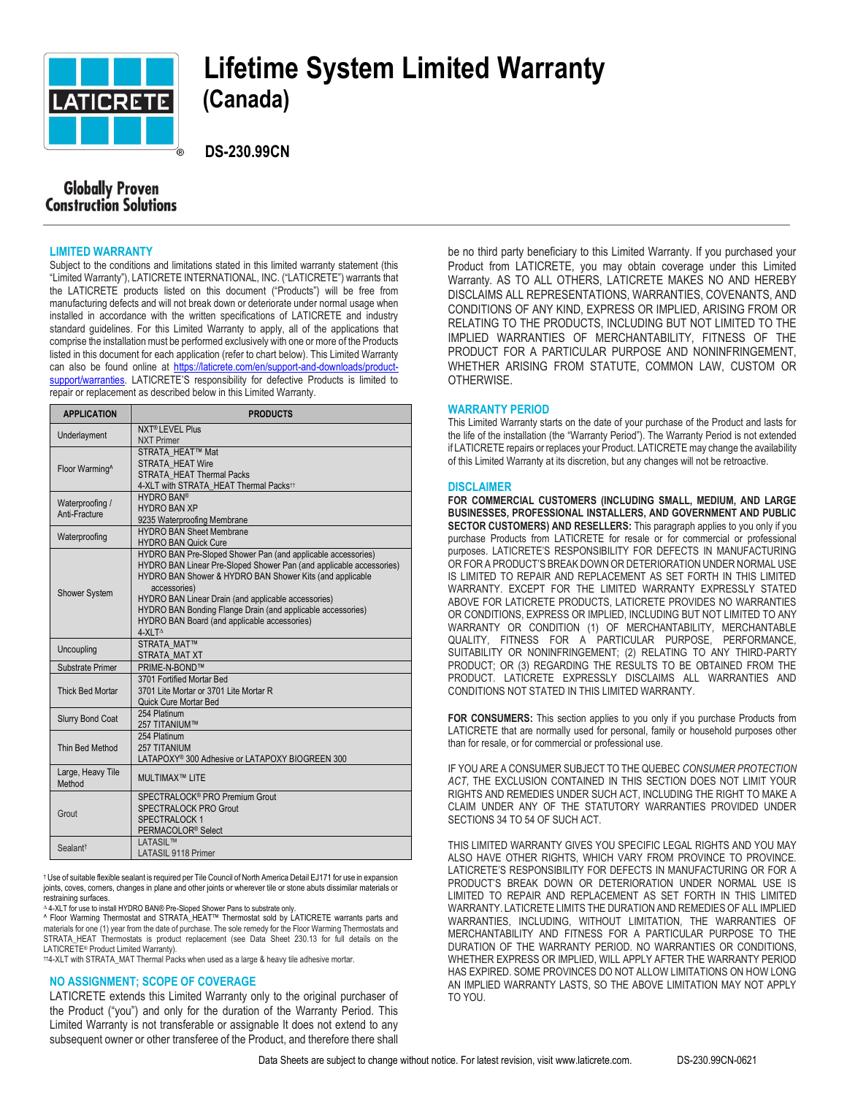

# **Lifetime System Limited Warranty**

 **DS-230.99CN**

## **Globally Proven Construction Solutions**

#### **LIMITED WARRANTY**

Subject to the conditions and limitations stated in this limited warranty statement (this "Limited Warranty"), LATICRETE INTERNATIONAL, INC. ("LATICRETE") warrants that the LATICRETE products listed on this document ("Products") will be free from manufacturing defects and will not break down or deteriorate under normal usage when installed in accordance with the written specifications of LATICRETE and industry standard guidelines. For this Limited Warranty to apply, all of the applications that comprise the installation must be performed exclusively with one or more of the Products listed in this document for each application (refer to chart below). This Limited Warranty can also be found online at [https://laticrete.com/en/support-and-downloads/product](https://laticrete.com/en/support-and-downloads/product-support/warranties)[support/warranties.](https://laticrete.com/en/support-and-downloads/product-support/warranties) LATICRETE'S responsibility for defective Products is limited to repair or replacement as described below in this Limited Warranty.

| <b>APPLICATION</b>               | <b>PRODUCTS</b>                                                                                                                                                                                                                                                                                                                                                                                             |
|----------------------------------|-------------------------------------------------------------------------------------------------------------------------------------------------------------------------------------------------------------------------------------------------------------------------------------------------------------------------------------------------------------------------------------------------------------|
| Underlayment                     | <b>NXT<sup>®</sup> LEVEL Plus</b><br><b>NXT Primer</b>                                                                                                                                                                                                                                                                                                                                                      |
| Floor Warming^                   | STRATA HEAT™ Mat<br><b>STRATA HEAT Wire</b><br>STRATA_HEAT Thermal Packs<br>4-XLT with STRATA HEAT Thermal Packs <sup>11</sup>                                                                                                                                                                                                                                                                              |
| Waterproofing /<br>Anti-Fracture | <b>HYDRO BAN®</b><br><b>HYDRO BAN XP</b><br>9235 Waterproofing Membrane                                                                                                                                                                                                                                                                                                                                     |
| Waterproofing                    | <b>HYDRO BAN Sheet Membrane</b><br><b>HYDRO BAN Quick Cure</b>                                                                                                                                                                                                                                                                                                                                              |
| <b>Shower System</b>             | HYDRO BAN Pre-Sloped Shower Pan (and applicable accessories)<br>HYDRO BAN Linear Pre-Sloped Shower Pan (and applicable accessories)<br>HYDRO BAN Shower & HYDRO BAN Shower Kits (and applicable<br>accessories)<br>HYDRO BAN Linear Drain (and applicable accessories)<br>HYDRO BAN Bonding Flange Drain (and applicable accessories)<br>HYDRO BAN Board (and applicable accessories)<br>4-XLT <sup>A</sup> |
| Uncoupling                       | STRATA MAT™<br>STRATA_MAT XT                                                                                                                                                                                                                                                                                                                                                                                |
| Substrate Primer                 | PRIME-N-BOND™                                                                                                                                                                                                                                                                                                                                                                                               |
| <b>Thick Bed Mortar</b>          | 3701 Fortified Mortar Bed<br>3701 Lite Mortar or 3701 Lite Mortar R<br><b>Quick Cure Mortar Bed</b>                                                                                                                                                                                                                                                                                                         |
| <b>Slurry Bond Coat</b>          | 254 Platinum<br>257 TITANIUM™                                                                                                                                                                                                                                                                                                                                                                               |
| Thin Bed Method                  | 254 Platinum<br>257 TITANIUM<br>LATAPOXY® 300 Adhesive or LATAPOXY BIOGREEN 300                                                                                                                                                                                                                                                                                                                             |
| Large, Heavy Tile<br>Method      | <b>MULTIMAX™ LITE</b>                                                                                                                                                                                                                                                                                                                                                                                       |
| Grout                            | SPECTRALOCK <sup>®</sup> PRO Premium Grout<br>SPECTRALOCK PRO Grout<br>SPECTRALOCK 1<br>PERMACOLOR <sup>®</sup> Select                                                                                                                                                                                                                                                                                      |
| Sealant <sup>1</sup>             | LATASIL™<br><b>LATASIL 9118 Primer</b>                                                                                                                                                                                                                                                                                                                                                                      |

† Use of suitable flexible sealant is required per Tile Council of North America Detail EJ171 for use in expansion joints, coves, corners, changes in plane and other joints or wherever tile or stone abuts dissimilar materials or restraining surfaces.

<sup>∆</sup> 4-XLT for use to install HYDRO BAN® Pre-Sloped Shower Pans to substrate only. ^ Floor Warming Thermostat and STRATA\_HEAT™ Thermostat sold by LATICRETE warrants parts and materials for one (1) year from the date of purchase. The sole remedy for the Floor Warming Thermostats and STRATA\_HEAT Thermostats is product replacement (see Data Sheet 230.13 for full details on the LATICRETE® Product Limited Warranty).

††4-XLT with STRATA\_MAT Thermal Packs when used as a large & heavy tile adhesive mortar.

### **NO ASSIGNMENT; SCOPE OF COVERAGE**

LATICRETE extends this Limited Warranty only to the original purchaser of the Product ("you") and only for the duration of the Warranty Period. This Limited Warranty is not transferable or assignable It does not extend to any subsequent owner or other transferee of the Product, and therefore there shall

be no third party beneficiary to this Limited Warranty. If you purchased your Product from LATICRETE, you may obtain coverage under this Limited Warranty. AS TO ALL OTHERS, LATICRETE MAKES NO AND HEREBY DISCLAIMS ALL REPRESENTATIONS, WARRANTIES, COVENANTS, AND CONDITIONS OF ANY KIND, EXPRESS OR IMPLIED, ARISING FROM OR RELATING TO THE PRODUCTS, INCLUDING BUT NOT LIMITED TO THE IMPLIED WARRANTIES OF MERCHANTABILITY, FITNESS OF THE PRODUCT FOR A PARTICULAR PURPOSE AND NONINFRINGEMENT, WHETHER ARISING FROM STATUTE, COMMON LAW, CUSTOM OR OTHERWISE.

#### **WARRANTY PERIOD**

This Limited Warranty starts on the date of your purchase of the Product and lasts for the life of the installation (the "Warranty Period"). The Warranty Period is not extended if LATICRETE repairs or replaces your Product. LATICRETE may change the availability of this Limited Warranty at its discretion, but any changes will not be retroactive.

#### **DISCLAIMER**

**FOR COMMERCIAL CUSTOMERS (INCLUDING SMALL, MEDIUM, AND LARGE BUSINESSES, PROFESSIONAL INSTALLERS, AND GOVERNMENT AND PUBLIC SECTOR CUSTOMERS) AND RESELLERS:** This paragraph applies to you only if you purchase Products from LATICRETE for resale or for commercial or professional purposes. LATICRETE'S RESPONSIBILITY FOR DEFECTS IN MANUFACTURING OR FOR A PRODUCT'S BREAK DOWN OR DETERIORATION UNDER NORMAL USE IS LIMITED TO REPAIR AND REPLACEMENT AS SET FORTH IN THIS LIMITED WARRANTY. EXCEPT FOR THE LIMITED WARRANTY EXPRESSLY STATED ABOVE FOR LATICRETE PRODUCTS, LATICRETE PROVIDES NO WARRANTIES OR CONDITIONS, EXPRESS OR IMPLIED, INCLUDING BUT NOT LIMITED TO ANY WARRANTY OR CONDITION (1) OF MERCHANTABILITY, MERCHANTABLE QUALITY, FITNESS FOR A PARTICULAR PURPOSE, PERFORMANCE, SUITABILITY OR NONINFRINGEMENT; (2) RELATING TO ANY THIRD-PARTY PRODUCT; OR (3) REGARDING THE RESULTS TO BE OBTAINED FROM THE PRODUCT. LATICRETE EXPRESSLY DISCLAIMS ALL WARRANTIES AND CONDITIONS NOT STATED IN THIS LIMITED WARRANTY.

**FOR CONSUMERS:** This section applies to you only if you purchase Products from LATICRETE that are normally used for personal, family or household purposes other than for resale, or for commercial or professional use.

IF YOU ARE A CONSUMER SUBJECT TO THE QUEBEC *CONSUMER PROTECTION ACT*, THE EXCLUSION CONTAINED IN THIS SECTION DOES NOT LIMIT YOUR RIGHTS AND REMEDIES UNDER SUCH ACT, INCLUDING THE RIGHT TO MAKE A CLAIM UNDER ANY OF THE STATUTORY WARRANTIES PROVIDED UNDER SECTIONS 34 TO 54 OF SUCH ACT.

THIS LIMITED WARRANTY GIVES YOU SPECIFIC LEGAL RIGHTS AND YOU MAY ALSO HAVE OTHER RIGHTS, WHICH VARY FROM PROVINCE TO PROVINCE. LATICRETE'S RESPONSIBILITY FOR DEFECTS IN MANUFACTURING OR FOR A PRODUCT'S BREAK DOWN OR DETERIORATION UNDER NORMAL USE IS LIMITED TO REPAIR AND REPLACEMENT AS SET FORTH IN THIS LIMITED WARRANTY. LATICRETE LIMITS THE DURATION AND REMEDIES OF ALL IMPLIED WARRANTIES, INCLUDING, WITHOUT LIMITATION, THE WARRANTIES OF MERCHANTABILITY AND FITNESS FOR A PARTICULAR PURPOSE TO THE DURATION OF THE WARRANTY PERIOD. NO WARRANTIES OR CONDITIONS, WHETHER EXPRESS OR IMPLIED, WILL APPLY AFTER THE WARRANTY PERIOD HAS EXPIRED. SOME PROVINCES DO NOT ALLOW LIMITATIONS ON HOW LONG AN IMPLIED WARRANTY LASTS, SO THE ABOVE LIMITATION MAY NOT APPLY TO YOU.